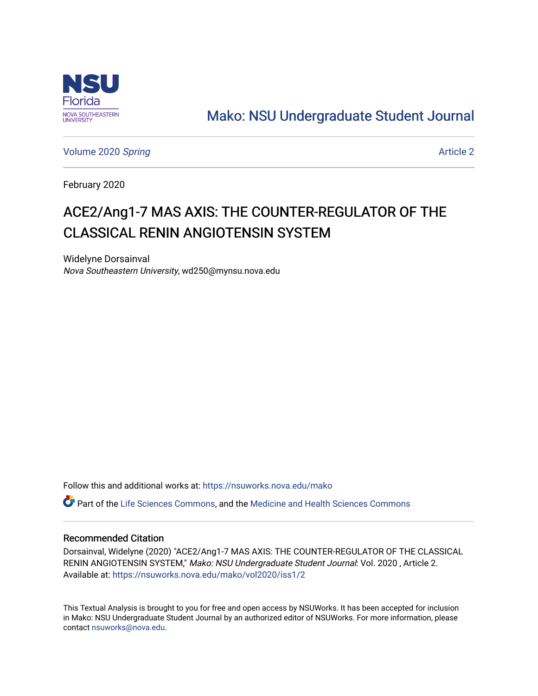

# [Mako: NSU Undergraduate Student Journal](https://nsuworks.nova.edu/mako)

[Volume 2020](https://nsuworks.nova.edu/mako/vol2020) Spring and the set of the set of the set of the set of the set of the set of the set of the set of the set of the set of the set of the set of the set of the set of the set of the set of the set of the set of t

February 2020

# ACE2/Ang1-7 MAS AXIS: THE COUNTER-REGULATOR OF THE CLASSICAL RENIN ANGIOTENSIN SYSTEM

Widelyne Dorsainval Nova Southeastern University, wd250@mynsu.nova.edu

Follow this and additional works at: [https://nsuworks.nova.edu/mako](https://nsuworks.nova.edu/mako?utm_source=nsuworks.nova.edu%2Fmako%2Fvol2020%2Fiss1%2F2&utm_medium=PDF&utm_campaign=PDFCoverPages)

Part of the [Life Sciences Commons,](http://network.bepress.com/hgg/discipline/1016?utm_source=nsuworks.nova.edu%2Fmako%2Fvol2020%2Fiss1%2F2&utm_medium=PDF&utm_campaign=PDFCoverPages) and the [Medicine and Health Sciences Commons](http://network.bepress.com/hgg/discipline/648?utm_source=nsuworks.nova.edu%2Fmako%2Fvol2020%2Fiss1%2F2&utm_medium=PDF&utm_campaign=PDFCoverPages)

### Recommended Citation

Dorsainval, Widelyne (2020) "ACE2/Ang1-7 MAS AXIS: THE COUNTER-REGULATOR OF THE CLASSICAL RENIN ANGIOTENSIN SYSTEM," Mako: NSU Undergraduate Student Journal: Vol. 2020, Article 2. Available at: [https://nsuworks.nova.edu/mako/vol2020/iss1/2](https://nsuworks.nova.edu/mako/vol2020/iss1/2?utm_source=nsuworks.nova.edu%2Fmako%2Fvol2020%2Fiss1%2F2&utm_medium=PDF&utm_campaign=PDFCoverPages)

This Textual Analysis is brought to you for free and open access by NSUWorks. It has been accepted for inclusion in Mako: NSU Undergraduate Student Journal by an authorized editor of NSUWorks. For more information, please contact [nsuworks@nova.edu.](mailto:nsuworks@nova.edu)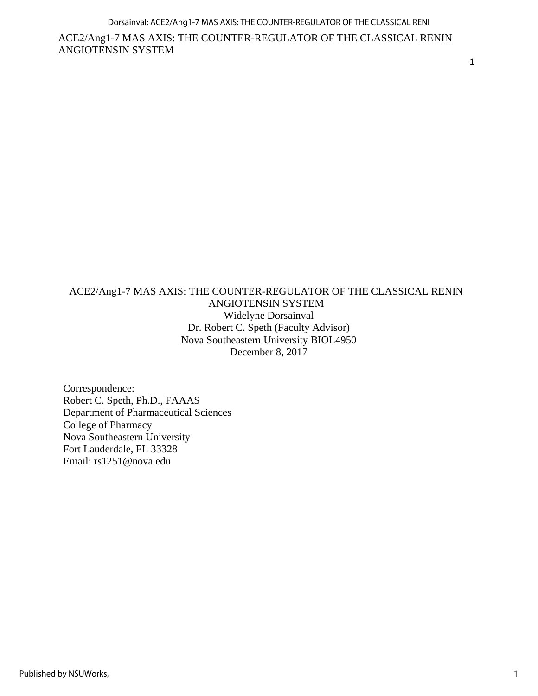1

# ACE2/Ang1-7 MAS AXIS: THE COUNTER-REGULATOR OF THE CLASSICAL RENIN ANGIOTENSIN SYSTEM Widelyne Dorsainval Dr. Robert C. Speth (Faculty Advisor) Nova Southeastern University BIOL4950 December 8, 2017

Correspondence: Robert C. Speth, Ph.D., FAAAS Department of Pharmaceutical Sciences College of Pharmacy Nova Southeastern University Fort Lauderdale, FL 33328 Email: rs1251@nova.edu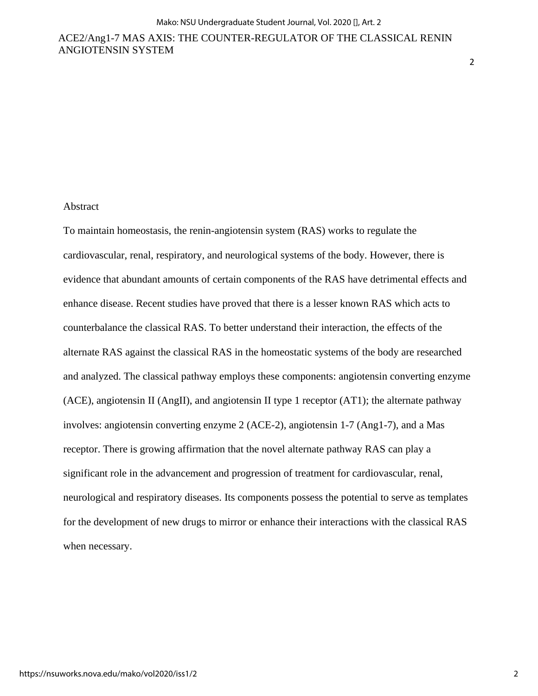#### Abstract

To maintain homeostasis, the renin-angiotensin system (RAS) works to regulate the cardiovascular, renal, respiratory, and neurological systems of the body. However, there is evidence that abundant amounts of certain components of the RAS have detrimental effects and enhance disease. Recent studies have proved that there is a lesser known RAS which acts to counterbalance the classical RAS. To better understand their interaction, the effects of the alternate RAS against the classical RAS in the homeostatic systems of the body are researched and analyzed. The classical pathway employs these components: angiotensin converting enzyme (ACE), angiotensin II (AngII), and angiotensin II type 1 receptor (AT1); the alternate pathway involves: angiotensin converting enzyme 2 (ACE-2), angiotensin 1-7 (Ang1-7), and a Mas receptor. There is growing affirmation that the novel alternate pathway RAS can play a significant role in the advancement and progression of treatment for cardiovascular, renal, neurological and respiratory diseases. Its components possess the potential to serve as templates for the development of new drugs to mirror or enhance their interactions with the classical RAS when necessary.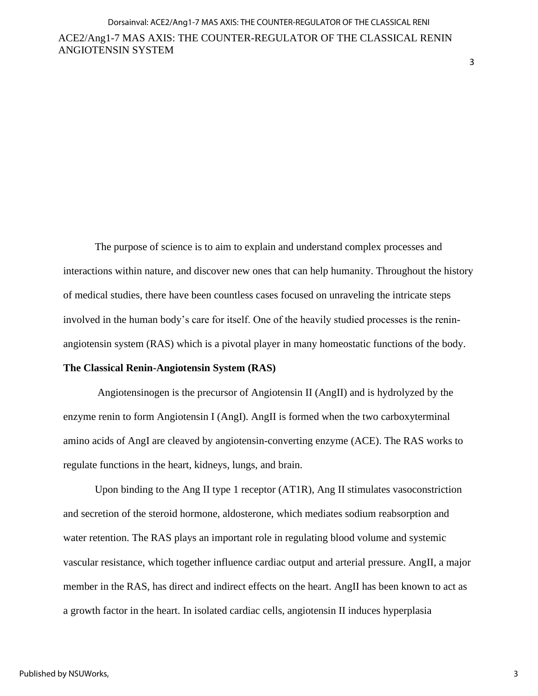3

The purpose of science is to aim to explain and understand complex processes and interactions within nature, and discover new ones that can help humanity. Throughout the history of medical studies, there have been countless cases focused on unraveling the intricate steps involved in the human body's care for itself. One of the heavily studied processes is the reninangiotensin system (RAS) which is a pivotal player in many homeostatic functions of the body.

### **The Classical Renin-Angiotensin System (RAS)**

ANGIOTENSIN SYSTEM

Angiotensinogen is the precursor of Angiotensin II (AngII) and is hydrolyzed by the enzyme renin to form Angiotensin I (AngI). AngII is formed when the two carboxyterminal amino acids of AngI are cleaved by angiotensin-converting enzyme (ACE). The RAS works to regulate functions in the heart, kidneys, lungs, and brain.

Upon binding to the Ang II type 1 receptor (AT1R), Ang II stimulates vasoconstriction and secretion of the steroid hormone, aldosterone, which mediates sodium reabsorption and water retention. The RAS plays an important role in regulating blood volume and systemic vascular resistance, which together influence cardiac output and arterial pressure. AngII, a major member in the RAS, has direct and indirect effects on the heart. AngII has been known to act as a growth factor in the heart. In isolated cardiac cells, angiotensin II induces hyperplasia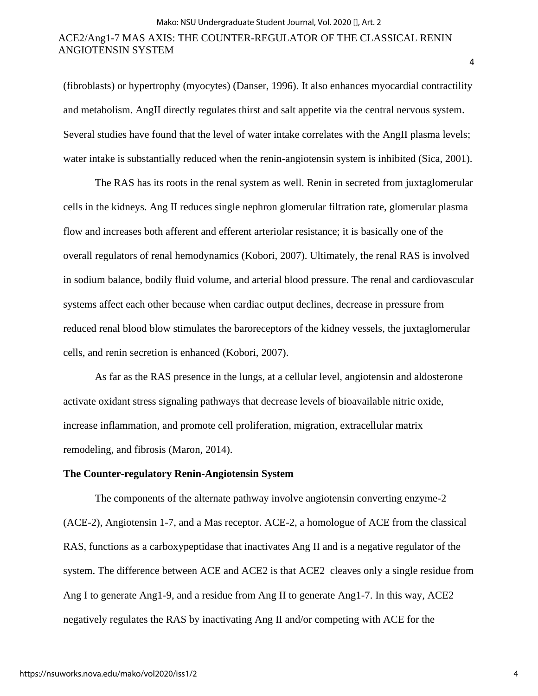(fibroblasts) or hypertrophy (myocytes) (Danser, 1996). It also enhances myocardial contractility and metabolism. AngII directly regulates thirst and salt appetite via the central nervous system. Several studies have found that the level of water intake correlates with the AngII plasma levels; water intake is substantially reduced when the renin-angiotensin system is inhibited (Sica, 2001).

The RAS has its roots in the renal system as well. Renin in secreted from juxtaglomerular cells in the kidneys. Ang II reduces single nephron glomerular filtration rate, glomerular plasma flow and increases both afferent and efferent arteriolar resistance; it is basically one of the overall regulators of renal hemodynamics (Kobori, 2007). Ultimately, the renal RAS is involved in sodium balance, bodily fluid volume, and arterial blood pressure. The renal and cardiovascular systems affect each other because when cardiac output declines, decrease in pressure from reduced renal blood blow stimulates the baroreceptors of the kidney vessels, the juxtaglomerular cells, and renin secretion is enhanced (Kobori, 2007).

As far as the RAS presence in the lungs, at a cellular level, angiotensin and aldosterone activate oxidant stress signaling pathways that decrease levels of bioavailable nitric oxide, increase inflammation, and promote cell proliferation, migration, extracellular matrix remodeling, and fibrosis (Maron, 2014).

#### **The Counter-regulatory Renin-Angiotensin System**

The components of the alternate pathway involve angiotensin converting enzyme-2 (ACE-2), Angiotensin 1-7, and a Mas receptor. ACE-2, a homologue of ACE from the classical RAS, functions as a carboxypeptidase that inactivates Ang II and is a negative regulator of the system. The difference between ACE and ACE2 is that ACE2 cleaves only a single residue from Ang I to generate Ang1-9, and a residue from Ang II to generate Ang1-7. In this way, ACE2 negatively regulates the RAS by inactivating Ang II and/or competing with ACE for the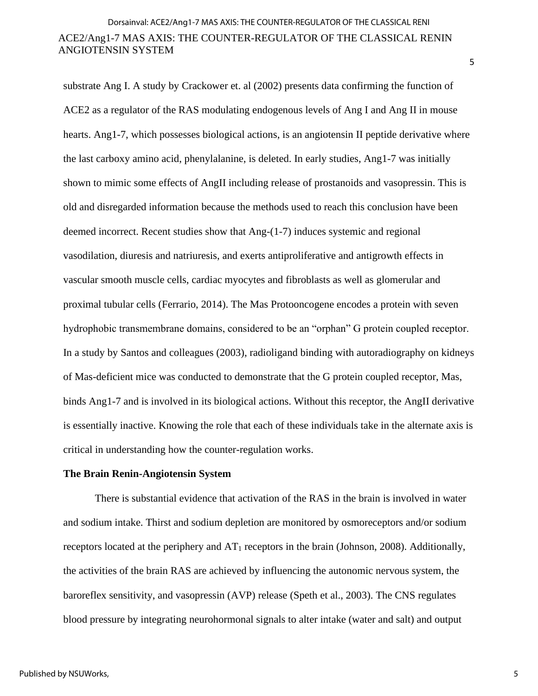5

substrate Ang I. A study by Crackower et. al (2002) presents data confirming the function of ACE2 as a regulator of the RAS modulating endogenous levels of Ang I and Ang II in mouse hearts. Ang1-7, which possesses biological actions, is an angiotensin II peptide derivative where the last carboxy amino acid, phenylalanine, is deleted. In early studies, Ang1-7 was initially shown to mimic some effects of AngII including release of prostanoids and vasopressin. This is old and disregarded information because the methods used to reach this conclusion have been deemed incorrect. Recent studies show that Ang-(1-7) induces systemic and regional vasodilation, diuresis and natriuresis, and exerts antiproliferative and antigrowth effects in vascular smooth muscle cells, cardiac myocytes and fibroblasts as well as glomerular and proximal tubular cells (Ferrario, 2014). The Mas Protooncogene encodes a protein with seven hydrophobic transmembrane domains, considered to be an "orphan" G protein coupled receptor. In a study by Santos and colleagues (2003), radioligand binding with autoradiography on kidneys of Mas-deficient mice was conducted to demonstrate that the G protein coupled receptor, Mas, binds Ang1-7 and is involved in its biological actions. Without this receptor, the AngII derivative is essentially inactive. Knowing the role that each of these individuals take in the alternate axis is critical in understanding how the counter-regulation works.

#### **The Brain Renin-Angiotensin System**

There is substantial evidence that activation of the RAS in the brain is involved in water and sodium intake. Thirst and sodium depletion are monitored by osmoreceptors and/or sodium receptors located at the periphery and  $AT_1$  receptors in the brain (Johnson, 2008). Additionally, the activities of the brain RAS are achieved by influencing the autonomic nervous system, the baroreflex sensitivity, and vasopressin (AVP) release (Speth et al., 2003). The CNS regulates blood pressure by integrating neurohormonal signals to alter intake (water and salt) and output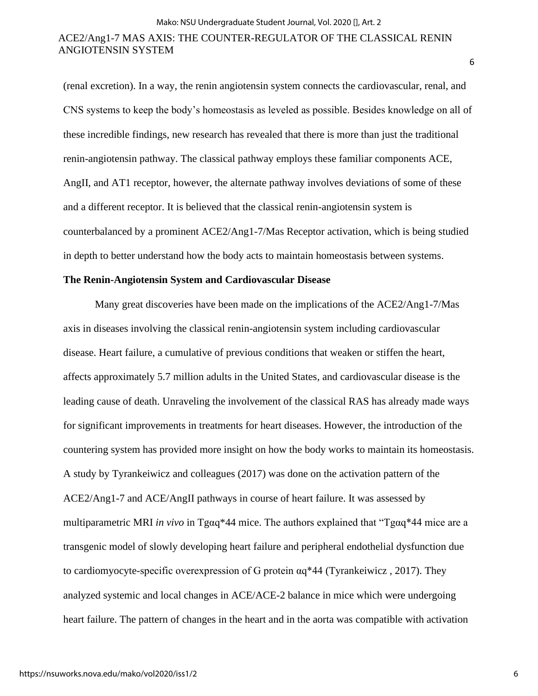(renal excretion). In a way, the renin angiotensin system connects the cardiovascular, renal, and CNS systems to keep the body's homeostasis as leveled as possible. Besides knowledge on all of these incredible findings, new research has revealed that there is more than just the traditional renin-angiotensin pathway. The classical pathway employs these familiar components ACE, AngII, and AT1 receptor, however, the alternate pathway involves deviations of some of these and a different receptor. It is believed that the classical renin-angiotensin system is counterbalanced by a prominent ACE2/Ang1-7/Mas Receptor activation, which is being studied in depth to better understand how the body acts to maintain homeostasis between systems.

#### **The Renin-Angiotensin System and Cardiovascular Disease**

Many great discoveries have been made on the implications of the ACE2/Ang1-7/Mas axis in diseases involving the classical renin-angiotensin system including cardiovascular disease. Heart failure, a cumulative of previous conditions that weaken or stiffen the heart, affects approximately 5.7 million adults in the United States, and cardiovascular disease is the leading cause of death. Unraveling the involvement of the classical RAS has already made ways for significant improvements in treatments for heart diseases. However, the introduction of the countering system has provided more insight on how the body works to maintain its homeostasis. A study by Tyrankeiwicz and colleagues (2017) was done on the activation pattern of the ACE2/Ang1-7 and ACE/AngII pathways in course of heart failure. It was assessed by multiparametric MRI *in vivo* in Tgαq\*44 mice. The authors explained that "Tgαq\*44 mice are a transgenic model of slowly developing heart failure and peripheral endothelial dysfunction due to cardiomyocyte-specific overexpression of G protein αq\*44 (Tyrankeiwicz , 2017). They analyzed systemic and local changes in ACE/ACE-2 balance in mice which were undergoing heart failure. The pattern of changes in the heart and in the aorta was compatible with activation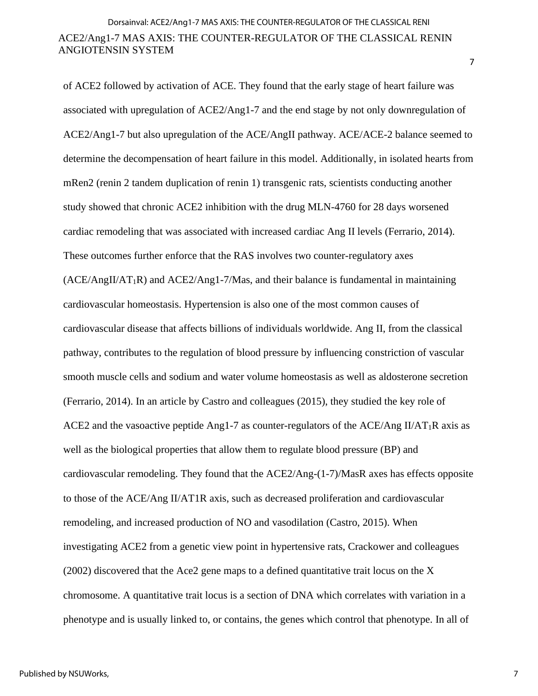of ACE2 followed by activation of ACE. They found that the early stage of heart failure was associated with upregulation of ACE2/Ang1-7 and the end stage by not only downregulation of ACE2/Ang1-7 but also upregulation of the ACE/AngII pathway. ACE/ACE-2 balance seemed to determine the decompensation of heart failure in this model. Additionally, in isolated hearts from mRen2 (renin 2 tandem duplication of renin 1) transgenic rats, scientists conducting another study showed that chronic ACE2 inhibition with the drug MLN-4760 for 28 days worsened cardiac remodeling that was associated with increased cardiac Ang II levels (Ferrario, 2014). These outcomes further enforce that the RAS involves two counter-regulatory axes  $(ACE/AngII/AT_1R)$  and  $ACE2/Ang1-7/Mas$ , and their balance is fundamental in maintaining cardiovascular homeostasis. Hypertension is also one of the most common causes of cardiovascular disease that affects billions of individuals worldwide. Ang II, from the classical pathway, contributes to the regulation of blood pressure by influencing constriction of vascular smooth muscle cells and sodium and water volume homeostasis as well as aldosterone secretion (Ferrario, 2014). In an article by Castro and colleagues (2015), they studied the key role of ACE2 and the vasoactive peptide Ang1-7 as counter-regulators of the ACE/Ang II/AT<sub>1</sub>R axis as well as the biological properties that allow them to regulate blood pressure (BP) and cardiovascular remodeling. They found that the ACE2/Ang-(1-7)/MasR axes has effects opposite to those of the ACE/Ang II/AT1R axis, such as decreased proliferation and cardiovascular remodeling, and increased production of NO and vasodilation (Castro, 2015). When investigating ACE2 from a genetic view point in hypertensive rats, Crackower and colleagues (2002) discovered that the Ace2 gene maps to a defined quantitative trait locus on the X chromosome. A quantitative trait locus is a section of DNA which correlates with variation in a phenotype and is usually linked to, or contains, the genes which control that phenotype. In all of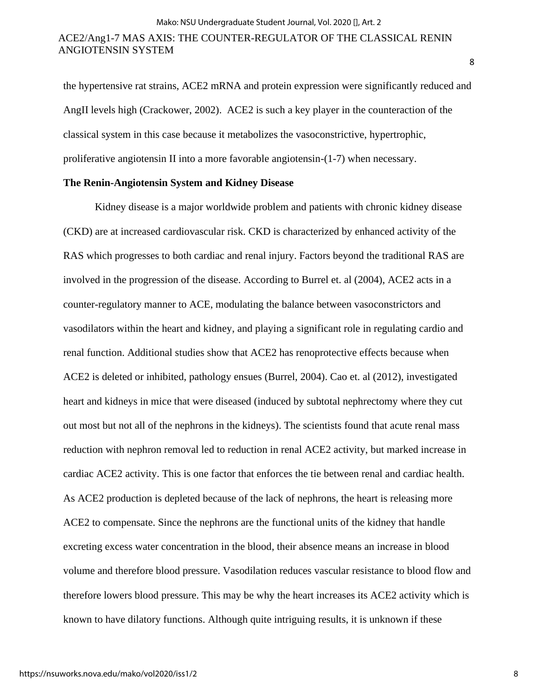the hypertensive rat strains, ACE2 mRNA and protein expression were significantly reduced and AngII levels high (Crackower, 2002). ACE2 is such a key player in the counteraction of the classical system in this case because it metabolizes the vasoconstrictive, hypertrophic, proliferative angiotensin II into a more favorable angiotensin-(1-7) when necessary.

#### **The Renin-Angiotensin System and Kidney Disease**

Kidney disease is a major worldwide problem and patients with chronic kidney disease (CKD) are at increased cardiovascular risk. CKD is characterized by enhanced activity of the RAS which progresses to both cardiac and renal injury. Factors beyond the traditional RAS are involved in the progression of the disease. According to Burrel et. al (2004), ACE2 acts in a counter-regulatory manner to ACE, modulating the balance between vasoconstrictors and vasodilators within the heart and kidney, and playing a significant role in regulating cardio and renal function. Additional studies show that ACE2 has renoprotective effects because when ACE2 is deleted or inhibited, pathology ensues (Burrel, 2004). Cao et. al (2012), investigated heart and kidneys in mice that were diseased (induced by subtotal nephrectomy where they cut out most but not all of the nephrons in the kidneys). The scientists found that acute renal mass reduction with nephron removal led to reduction in renal ACE2 activity, but marked increase in cardiac ACE2 activity. This is one factor that enforces the tie between renal and cardiac health. As ACE2 production is depleted because of the lack of nephrons, the heart is releasing more ACE2 to compensate. Since the nephrons are the functional units of the kidney that handle excreting excess water concentration in the blood, their absence means an increase in blood volume and therefore blood pressure. Vasodilation reduces vascular resistance to blood flow and therefore lowers blood pressure. This may be why the heart increases its ACE2 activity which is known to have dilatory functions. Although quite intriguing results, it is unknown if these

8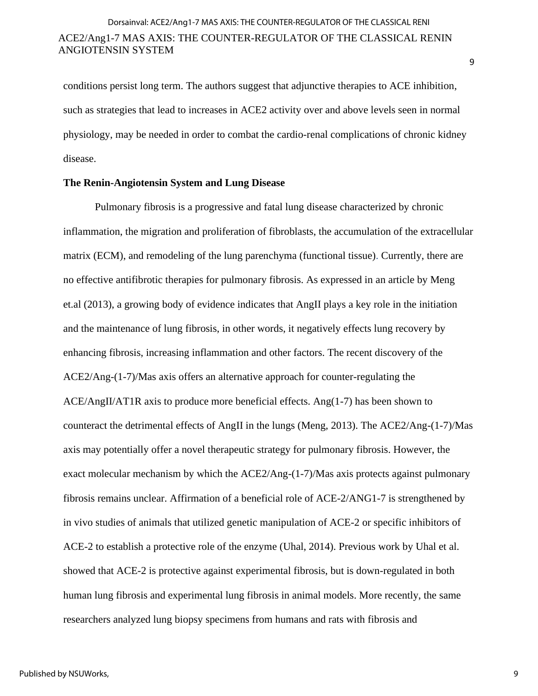conditions persist long term. The authors suggest that adjunctive therapies to ACE inhibition, such as strategies that lead to increases in ACE2 activity over and above levels seen in normal physiology, may be needed in order to combat the cardio-renal complications of chronic kidney disease.

#### **The Renin-Angiotensin System and Lung Disease**

Pulmonary fibrosis is a progressive and fatal lung disease characterized by chronic inflammation, the migration and proliferation of fibroblasts, the accumulation of the extracellular matrix (ECM), and remodeling of the lung parenchyma (functional tissue). Currently, there are no effective antifibrotic therapies for pulmonary fibrosis. As expressed in an article by Meng et.al (2013), a growing body of evidence indicates that AngII plays a key role in the initiation and the maintenance of lung fibrosis, in other words, it negatively effects lung recovery by enhancing fibrosis, increasing inflammation and other factors. The recent discovery of the ACE2/Ang-(1-7)/Mas axis offers an alternative approach for counter-regulating the ACE/AngII/AT1R axis to produce more beneficial effects. Ang(1-7) has been shown to counteract the detrimental effects of AngII in the lungs (Meng, 2013). The ACE2/Ang-(1-7)/Mas axis may potentially offer a novel therapeutic strategy for pulmonary fibrosis. However, the exact molecular mechanism by which the ACE2/Ang-(1-7)/Mas axis protects against pulmonary fibrosis remains unclear. Affirmation of a beneficial role of ACE-2/ANG1-7 is strengthened by in vivo studies of animals that utilized genetic manipulation of ACE-2 or specific inhibitors of ACE-2 to establish a protective role of the enzyme (Uhal, 2014). Previous work by Uhal et al. showed that ACE-2 is protective against experimental fibrosis, but is down-regulated in both human lung fibrosis and experimental lung fibrosis in animal models. More recently, the same researchers analyzed lung biopsy specimens from humans and rats with fibrosis and

9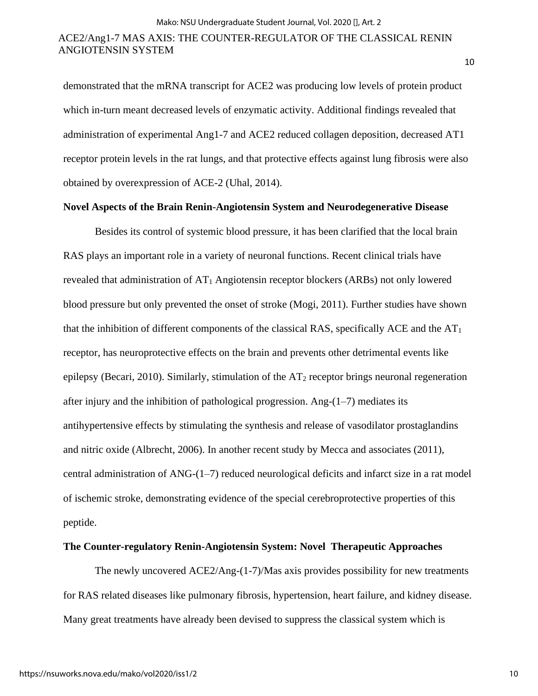demonstrated that the mRNA transcript for ACE2 was producing low levels of protein product which in-turn meant decreased levels of enzymatic activity. Additional findings revealed that administration of experimental Ang1-7 and ACE2 reduced collagen deposition, decreased AT1 receptor protein levels in the rat lungs, and that protective effects against lung fibrosis were also obtained by overexpression of ACE-2 (Uhal, 2014).

#### **Novel Aspects of the Brain Renin-Angiotensin System and Neurodegenerative Disease**

Besides its control of systemic blood pressure, it has been clarified that the local brain RAS plays an important role in a variety of neuronal functions. Recent clinical trials have revealed that administration of  $AT_1$  Angiotensin receptor blockers (ARBs) not only lowered blood pressure but only prevented the onset of stroke (Mogi, 2011). Further studies have shown that the inhibition of different components of the classical RAS, specifically ACE and the  $AT<sub>1</sub>$ receptor, has neuroprotective effects on the brain and prevents other detrimental events like epilepsy (Becari, 2010). Similarly, stimulation of the  $AT_2$  receptor brings neuronal regeneration after injury and the inhibition of pathological progression. Ang- $(1-7)$  mediates its antihypertensive effects by stimulating the synthesis and release of vasodilator prostaglandins and nitric oxide (Albrecht, 2006). In another recent study by Mecca and associates (2011), central administration of ANG-(1–7) reduced neurological deficits and infarct size in a rat model of ischemic stroke, demonstrating evidence of the special cerebroprotective properties of this peptide.

#### **The Counter-regulatory Renin-Angiotensin System: Novel Therapeutic Approaches**

The newly uncovered ACE2/Ang-(1-7)/Mas axis provides possibility for new treatments for RAS related diseases like pulmonary fibrosis, hypertension, heart failure, and kidney disease. Many great treatments have already been devised to suppress the classical system which is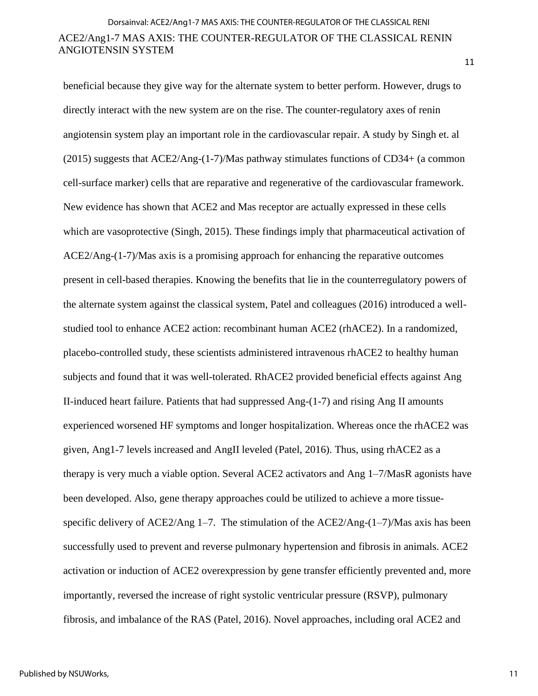beneficial because they give way for the alternate system to better perform. However, drugs to directly interact with the new system are on the rise. The counter-regulatory axes of renin angiotensin system play an important role in the cardiovascular repair. A study by Singh et. al (2015) suggests that ACE2/Ang-(1-7)/Mas pathway stimulates functions of CD34+ (a common cell-surface marker) cells that are reparative and regenerative of the cardiovascular framework. New evidence has shown that ACE2 and Mas receptor are actually expressed in these cells which are vasoprotective (Singh, 2015). These findings imply that pharmaceutical activation of ACE2/Ang-(1-7)/Mas axis is a promising approach for enhancing the reparative outcomes present in cell-based therapies. Knowing the benefits that lie in the counterregulatory powers of the alternate system against the classical system, Patel and colleagues (2016) introduced a wellstudied tool to enhance ACE2 action: recombinant human ACE2 (rhACE2). In a randomized, placebo-controlled study, these scientists administered intravenous rhACE2 to healthy human subjects and found that it was well-tolerated. RhACE2 provided beneficial effects against Ang II-induced heart failure. Patients that had suppressed Ang-(1-7) and rising Ang II amounts experienced worsened HF symptoms and longer hospitalization. Whereas once the rhACE2 was given, Ang1-7 levels increased and AngII leveled (Patel, 2016). Thus, using rhACE2 as a therapy is very much a viable option. Several ACE2 activators and Ang 1–7/MasR agonists have been developed. Also, gene therapy approaches could be utilized to achieve a more tissuespecific delivery of ACE2/Ang  $1-7$ . The stimulation of the ACE2/Ang- $(1-7)$ /Mas axis has been successfully used to prevent and reverse pulmonary hypertension and fibrosis in animals. ACE2 activation or induction of ACE2 overexpression by gene transfer efficiently prevented and, more importantly, reversed the increase of right systolic ventricular pressure (RSVP), pulmonary fibrosis, and imbalance of the RAS (Patel, 2016). Novel approaches, including oral ACE2 and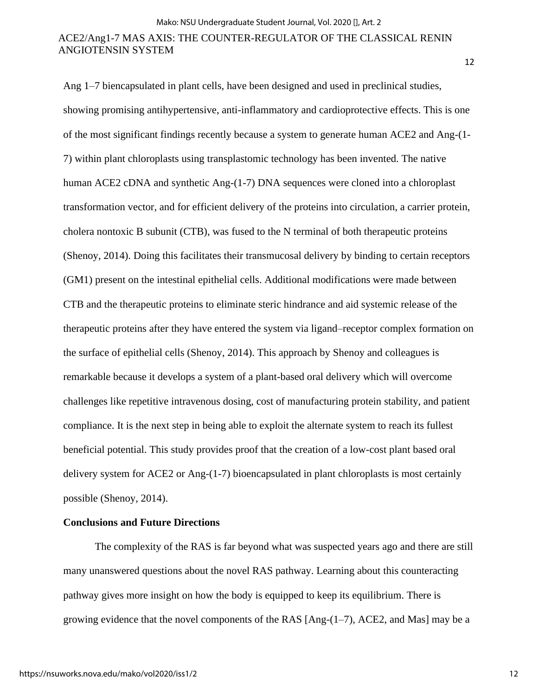12

Ang 1–7 biencapsulated in plant cells, have been designed and used in preclinical studies, showing promising antihypertensive, anti-inflammatory and cardioprotective effects. This is one of the most significant findings recently because a system to generate human ACE2 and Ang-(1- 7) within plant chloroplasts using transplastomic technology has been invented. The native human ACE2 cDNA and synthetic Ang-(1-7) DNA sequences were cloned into a chloroplast transformation vector, and for efficient delivery of the proteins into circulation, a carrier protein, cholera nontoxic B subunit (CTB), was fused to the N terminal of both therapeutic proteins (Shenoy, 2014). Doing this facilitates their transmucosal delivery by binding to certain receptors (GM1) present on the intestinal epithelial cells. Additional modifications were made between CTB and the therapeutic proteins to eliminate steric hindrance and aid systemic release of the therapeutic proteins after they have entered the system via ligand–receptor complex formation on the surface of epithelial cells (Shenoy, 2014). This approach by Shenoy and colleagues is remarkable because it develops a system of a plant-based oral delivery which will overcome challenges like repetitive intravenous dosing, cost of manufacturing protein stability, and patient compliance. It is the next step in being able to exploit the alternate system to reach its fullest beneficial potential. This study provides proof that the creation of a low-cost plant based oral delivery system for ACE2 or Ang-(1-7) bioencapsulated in plant chloroplasts is most certainly possible (Shenoy, 2014).

## **Conclusions and Future Directions**

The complexity of the RAS is far beyond what was suspected years ago and there are still many unanswered questions about the novel RAS pathway. Learning about this counteracting pathway gives more insight on how the body is equipped to keep its equilibrium. There is growing evidence that the novel components of the RAS  $[Ang-(1-7)$ , ACE2, and Mas $]$  may be a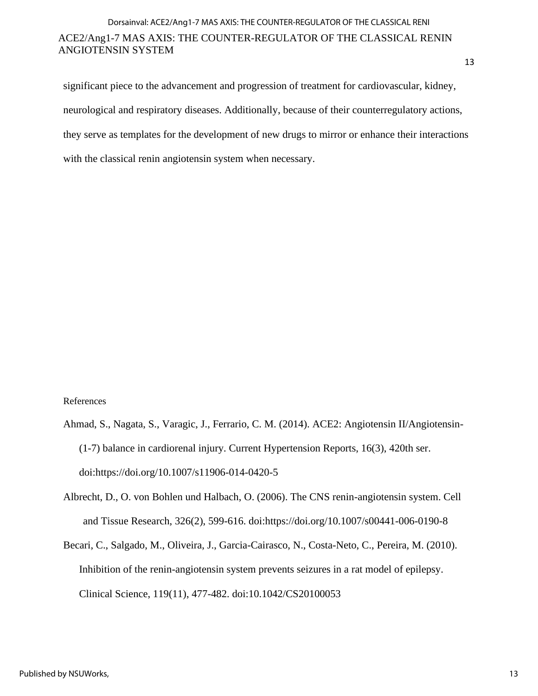13

significant piece to the advancement and progression of treatment for cardiovascular, kidney, neurological and respiratory diseases. Additionally, because of their counterregulatory actions, they serve as templates for the development of new drugs to mirror or enhance their interactions with the classical renin angiotensin system when necessary.

## References

- Ahmad, S., Nagata, S., Varagic, J., Ferrario, C. M. (2014). ACE2: Angiotensin II/Angiotensin- (1-7) balance in cardiorenal injury. Current Hypertension Reports, 16(3), 420th ser. doi:https://doi.org/10.1007/s11906-014-0420-5
- Albrecht, D., O. von Bohlen und Halbach, O. (2006). The CNS renin-angiotensin system. Cell and Tissue Research, 326(2), 599-616. doi:https://doi.org/10.1007/s00441-006-0190-8
- Becari, C., Salgado, M., Oliveira, J., Garcia-Cairasco, N., Costa-Neto, C., Pereira, M. (2010). Inhibition of the renin-angiotensin system prevents seizures in a rat model of epilepsy. Clinical Science, 119(11), 477-482. doi:10.1042/CS20100053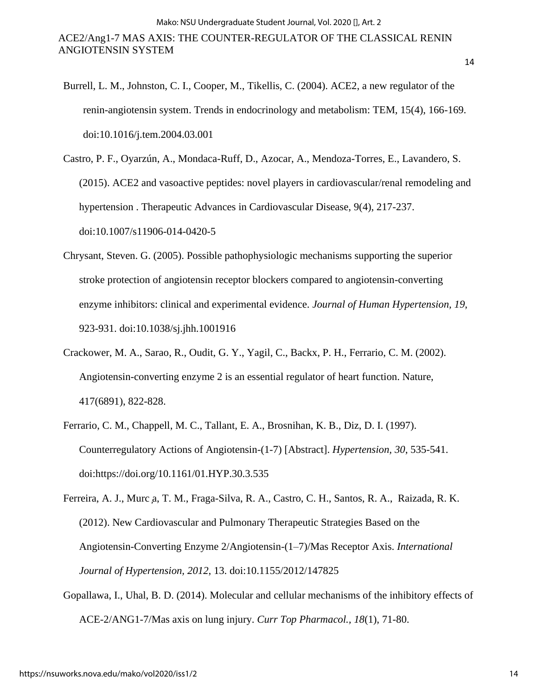- Burrell, L. M., Johnston, C. I., Cooper, M., Tikellis, C. (2004). ACE2, a new regulator of the renin-angiotensin system. Trends in endocrinology and metabolism: TEM, 15(4), 166-169. doi:10.1016/j.tem.2004.03.001
- Castro, P. F., Oyarzún, A., Mondaca-Ruff, D., Azocar, A., Mendoza-Torres, E., Lavandero, S. (2015). ACE2 and vasoactive peptides: novel players in cardiovascular/renal remodeling and hypertension . Therapeutic Advances in Cardiovascular Disease, 9(4), 217-237. doi:10.1007/s11906-014-0420-5
- Chrysant, Steven. G. (2005). Possible pathophysiologic mechanisms supporting the superior stroke protection of angiotensin receptor blockers compared to angiotensin-converting enzyme inhibitors: clinical and experimental evidence. *Journal of Human Hypertension, 19*, 923-931. doi:10.1038/sj.jhh.1001916
- Crackower, M. A., Sarao, R., Oudit, G. Y., Yagil, C., Backx, P. H., Ferrario, C. M. (2002). Angiotensin-converting enzyme 2 is an essential regulator of heart function. Nature, 417(6891), 822-828.
- Ferrario, C. M., Chappell, M. C., Tallant, E. A., Brosnihan, K. B., Diz, D. I. (1997). Counterregulatory Actions of Angiotensin-(1-7) [Abstract]. *Hypertension, 30*, 535-541. doi:https://doi.org/10.1161/01.HYP.30.3.535
- Ferreira, A. J., Murc a, T. M., Fraga-Silva, R. A., Castro, C. H., Santos, R. A., Raizada, R. K. (2012). New Cardiovascular and Pulmonary Therapeutic Strategies Based on the Angiotensin-Converting Enzyme 2/Angiotensin-(1–7)/Mas Receptor Axis. *International Journal of Hypertension, 2012*, 13. doi:10.1155/2012/147825
- Gopallawa, I., Uhal, B. D. (2014). Molecular and cellular mechanisms of the inhibitory effects of ACE-2/ANG1-7/Mas axis on lung injury. *Curr Top Pharmacol., 18*(1), 71-80.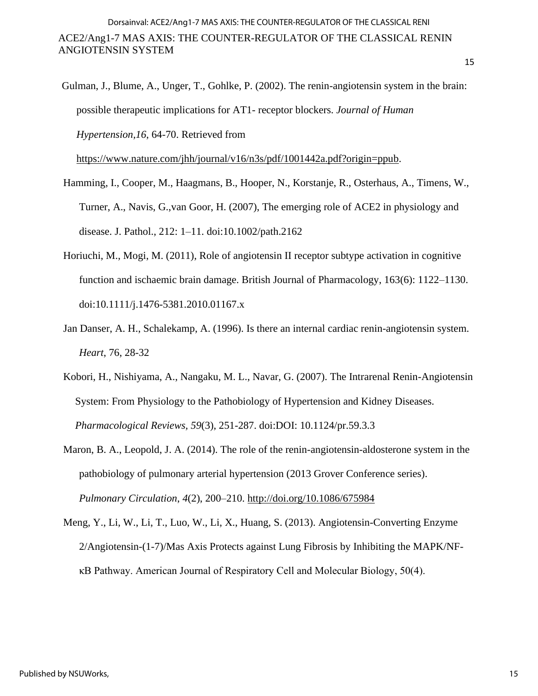Gulman, J., Blume, A., Unger, T., Gohlke, P. (2002). The renin-angiotensin system in the brain: possible therapeutic implications for AT1- receptor blockers. *Journal of Human Hypertension,16*, 64-70. Retrieved from

[https://www.nature.com/jhh/journal/v16/n3s/pdf/1001442a.pdf?origin=ppub.](https://www.nature.com/jhh/journal/v16/n3s/pdf/1001442a.pdf?origin=ppub)

- Hamming, I., Cooper, M., Haagmans, B., Hooper, N., Korstanje, R., Osterhaus, A., Timens, W., Turner, A., Navis, G.,van Goor, H. (2007), The emerging role of ACE2 in physiology and disease. J. Pathol., 212: 1–11. doi:10.1002/path.2162
- Horiuchi, M., Mogi, M. (2011), Role of angiotensin II receptor subtype activation in cognitive function and ischaemic brain damage. British Journal of Pharmacology, 163(6): 1122–1130. doi:10.1111/j.1476-5381.2010.01167.x
- Jan Danser, A. H., Schalekamp, A. (1996). Is there an internal cardiac renin-angiotensin system. *Heart*, 76, 28-32
- Kobori, H., Nishiyama, A., Nangaku, M. L., Navar, G. (2007). The Intrarenal Renin-Angiotensin System: From Physiology to the Pathobiology of Hypertension and Kidney Diseases. *Pharmacological Reviews, 59*(3), 251-287. doi:DOI: 10.1124/pr.59.3.3
- Maron, B. A., Leopold, J. A. (2014). The role of the renin-angiotensin-aldosterone system in the pathobiology of pulmonary arterial hypertension (2013 Grover Conference series). *Pulmonary Circulation*, *4*(2), 200–210.<http://doi.org/10.1086/675984>
- Meng, Y., Li, W., Li, T., Luo, W., Li, X., Huang, S. (2013). Angiotensin-Converting Enzyme 2/Angiotensin-(1-7)/Mas Axis Protects against Lung Fibrosis by Inhibiting the MAPK/NFκB Pathway. American Journal of Respiratory Cell and Molecular Biology, 50(4).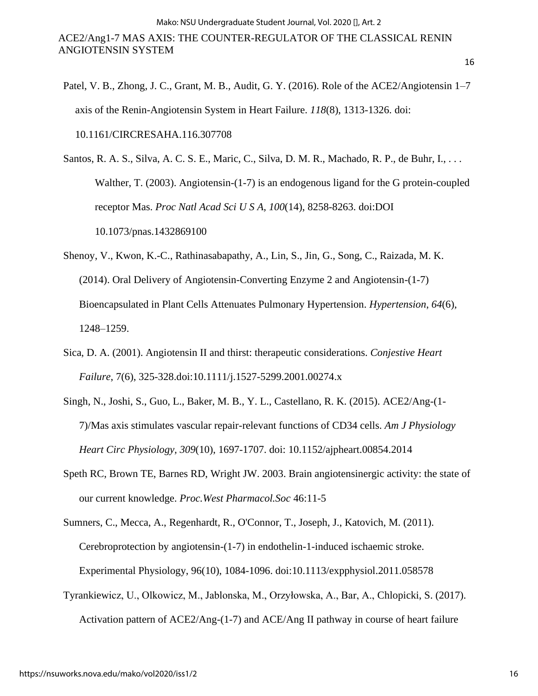Patel, V. B., Zhong, J. C., Grant, M. B., Audit, G. Y. (2016). Role of the ACE2/Angiotensin 1–7 axis of the Renin-Angiotensin System in Heart Failure. *118*(8), 1313-1326. doi: 10.1161/CIRCRESAHA.116.307708

Santos, R. A. S., Silva, A. C. S. E., Maric, C., Silva, D. M. R., Machado, R. P., de Buhr, I., . . . Walther, T. (2003). Angiotensin-(1-7) is an endogenous ligand for the G protein-coupled receptor Mas. *Proc Natl Acad Sci U S A, 100*(14), 8258-8263. doi:DOI 10.1073/pnas.1432869100

- Shenoy, V., Kwon, K.-C., Rathinasabapathy, A., Lin, S., Jin, G., Song, C., Raizada, M. K. (2014). Oral Delivery of Angiotensin-Converting Enzyme 2 and Angiotensin-(1-7) Bioencapsulated in Plant Cells Attenuates Pulmonary Hypertension. *Hypertension*, *64*(6), 1248–1259.
- Sica, D. A. (2001). Angiotensin II and thirst: therapeutic considerations. *Conjestive Heart Failure*, 7(6), 325-328.doi:10.1111/j.1527-5299.2001.00274.x
- Singh, N., Joshi, S., Guo, L., Baker, M. B., Y. L., Castellano, R. K. (2015). ACE2/Ang-(1- 7)/Mas axis stimulates vascular repair-relevant functions of CD34 cells. *Am J Physiology Heart Circ Physiology, 309*(10), 1697-1707. doi: 10.1152/ajpheart.00854.2014
- Speth RC, Brown TE, Barnes RD, Wright JW. 2003. Brain angiotensinergic activity: the state of our current knowledge. *Proc.West Pharmacol.Soc* 46:11-5

Sumners, C., Mecca, A., Regenhardt, R., O'Connor, T., Joseph, J., Katovich, M. (2011). Cerebroprotection by angiotensin-(1-7) in endothelin-1-induced ischaemic stroke. Experimental Physiology, 96(10), 1084-1096. doi:10.1113/expphysiol.2011.058578

Tyrankiewicz, U., Olkowicz, M., Jablonska, M., Orzyłowska, A., Bar, A., Chlopicki, S. (2017). Activation pattern of ACE2/Ang-(1-7) and ACE/Ang II pathway in course of heart failure